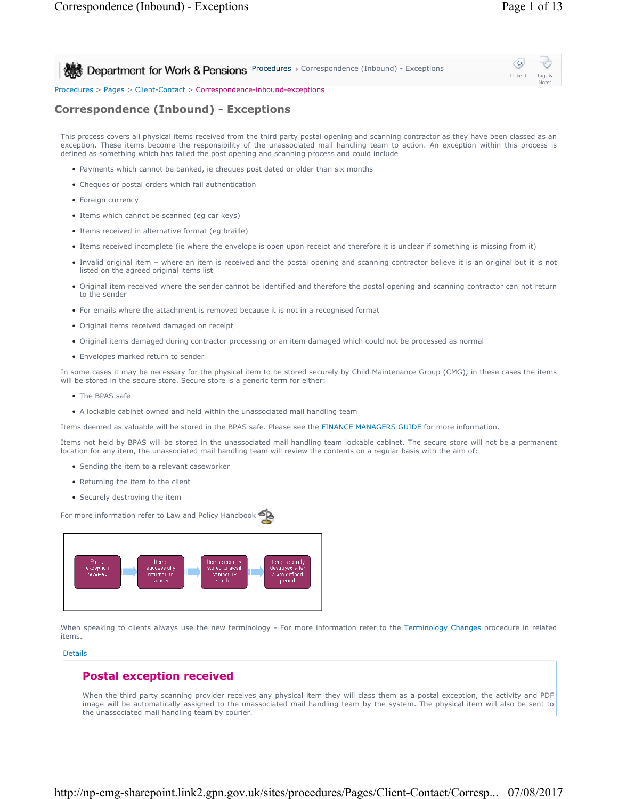I Like It Tags & Notes

**Procedures > Correspondence (Inbound) - Exceptions** 

Procedures > Pages > Client-Contact > Correspondence-inbound-exceptions

# **Correspondence (Inbound) - Exceptions**

This process covers all physical items received from the third party postal opening and scanning contractor as they have been classed as an exception. These items become the responsibility of the unassociated mail handling team to action. An exception within this process is defined as something which has failed the post opening and scanning process and could include

- Payments which cannot be banked, ie cheques post dated or older than six months
- Cheques or postal orders which fail authentication
- Foreign currency
- Items which cannot be scanned (eg car keys)
- Items received in alternative format (eg braille)
- Items received incomplete (ie where the envelope is open upon receipt and therefore it is unclear if something is missing from it)
- Invalid original item where an item is received and the postal opening and scanning contractor believe it is an original but it is not listed on the agreed original items list
- Original item received where the sender cannot be identified and therefore the postal opening and scanning contractor can not return to the sender
- For emails where the attachment is removed because it is not in a recognised format
- Original items received damaged on receipt
- Original items damaged during contractor processing or an item damaged which could not be processed as normal
- Envelopes marked return to sender

In some cases it may be necessary for the physical item to be stored securely by Child Maintenance Group (CMG), in these cases the items will be stored in the secure store. Secure store is a generic term for either:

- The BPAS safe
- A lockable cabinet owned and held within the unassociated mail handling team

Items deemed as valuable will be stored in the BPAS safe. Please see the FINANCE MANAGERS GUIDE for more information.

Items not held by BPAS will be stored in the unassociated mail handling team lockable cabinet. The secure store will not be a permanent location for any item, the unassociated mail handling team will review the contents on a regular basis with the aim of:

- Sending the item to a relevant caseworker
- Returning the item to the client
- Securely destroying the item

For more information refer to Law and Policy Handbook



When speaking to clients always use the new terminology - For more information refer to the Terminology Changes procedure in related items.

#### Details

# **Postal exception received**

When the third party scanning provider receives any physical item they will class them as a postal exception, the activity and PDF image will be automatically assigned to the unassociated mail handling team by the system. The physical item will also be sent to the unassociated mail handling team by courier.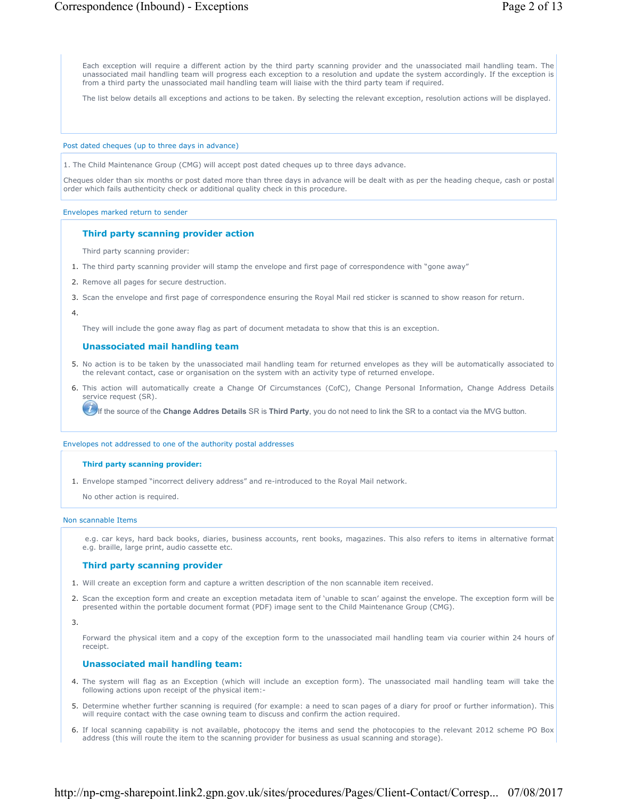Each exception will require a different action by the third party scanning provider and the unassociated mail handling team. The unassociated mail handling team will progress each exception to a resolution and update the system accordingly. If the exception is from a third party the unassociated mail handling team will liaise with the third party team if required.

The list below details all exceptions and actions to be taken. By selecting the relevant exception, resolution actions will be displayed.

#### Post dated cheques (up to three days in advance)

1. The Child Maintenance Group (CMG) will accept post dated cheques up to three days advance.

Cheques older than six months or post dated more than three days in advance will be dealt with as per the heading cheque, cash or postal order which fails authenticity check or additional quality check in this procedure.

#### Envelopes marked return to sender

#### **Third party scanning provider action**

Third party scanning provider:

- 1. The third party scanning provider will stamp the envelope and first page of correspondence with "gone away"
- 2. Remove all pages for secure destruction.
- 3. Scan the envelope and first page of correspondence ensuring the Royal Mail red sticker is scanned to show reason for return.

4.

They will include the gone away flag as part of document metadata to show that this is an exception.

#### **Unassociated mail handling team**

- 5. No action is to be taken by the unassociated mail handling team for returned envelopes as they will be automatically associated to the relevant contact, case or organisation on the system with an activity type of returned envelope.
- 6. This action will automatically create a Change Of Circumstances (CofC), Change Personal Information, Change Address Details service request (SR).

If the source of the **Change Addres Details** SR is **Third Party**, you do not need to link the SR to a contact via the MVG button.

#### Envelopes not addressed to one of the authority postal addresses

#### **Third party scanning provider:**

1. Envelope stamped "incorrect delivery address" and re-introduced to the Royal Mail network.

No other action is required.

#### Non scannable Items

 e.g. car keys, hard back books, diaries, business accounts, rent books, magazines. This also refers to items in alternative format e.g. braille, large print, audio cassette etc.

## **Third party scanning provider**

- 1. Will create an exception form and capture a written description of the non scannable item received.
- 2. Scan the exception form and create an exception metadata item of 'unable to scan' against the envelope. The exception form will be presented within the portable document format (PDF) image sent to the Child Maintenance Group (CMG).

3.

Forward the physical item and a copy of the exception form to the unassociated mail handling team via courier within 24 hours of receipt.

### **Unassociated mail handling team:**

- 4. The system will flag as an Exception (which will include an exception form). The unassociated mail handling team will take the following actions upon receipt of the physical item:-
- 5. Determine whether further scanning is required (for example: a need to scan pages of a diary for proof or further information). This will require contact with the case owning team to discuss and confirm the action required.
- 6. If local scanning capability is not available, photocopy the items and send the photocopies to the relevant 2012 scheme PO Box address (this will route the item to the scanning provider for business as usual scanning and storage).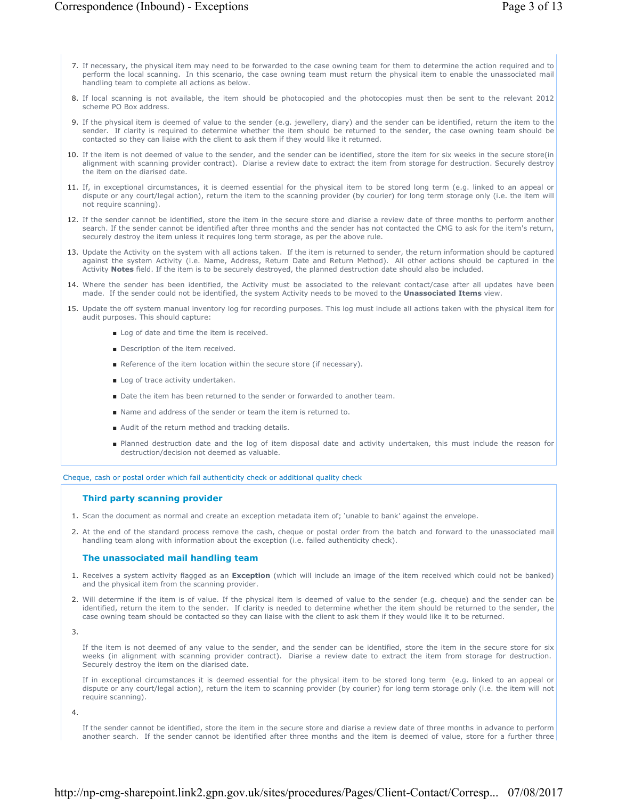- 7. If necessary, the physical item may need to be forwarded to the case owning team for them to determine the action required and to perform the local scanning. In this scenario, the case owning team must return the physical item to enable the unassociated mail handling team to complete all actions as below.
- 8. If local scanning is not available, the item should be photocopied and the photocopies must then be sent to the relevant 2012 scheme PO Box address.
- If the physical item is deemed of value to the sender (e.g. jewellery, diary) and the sender can be identified, return the item to the 9. sender. If clarity is required to determine whether the item should be returned to the sender, the case owning team should be contacted so they can liaise with the client to ask them if they would like it returned.
- 10. If the item is not deemed of value to the sender, and the sender can be identified, store the item for six weeks in the secure store(in alignment with scanning provider contract). Diarise a review date to extract the item from storage for destruction. Securely destroy the item on the diarised date.
- If, in exceptional circumstances, it is deemed essential for the physical item to be stored long term (e.g. linked to an appeal or 11. dispute or any court/legal action), return the item to the scanning provider (by courier) for long term storage only (i.e. the item will not require scanning).
- 12. If the sender cannot be identified, store the item in the secure store and diarise a review date of three months to perform another search. If the sender cannot be identified after three months and the sender has not contacted the CMG to ask for the item's return, securely destroy the item unless it requires long term storage, as per the above rule.
- 13. Update the Activity on the system with all actions taken. If the item is returned to sender, the return information should be captured against the system Activity (i.e. Name, Address, Return Date and Return Method). All other actions should be captured in the Activity **Notes** field. If the item is to be securely destroyed, the planned destruction date should also be included.
- Where the sender has been identified, the Activity must be associated to the relevant contact/case after all updates have been 14. made. If the sender could not be identified, the system Activity needs to be moved to the **Unassociated Items** view.
- 15. Update the off system manual inventory log for recording purposes. This log must include all actions taken with the physical item for audit purposes. This should capture:
	- Log of date and time the item is received.
	- Description of the item received.
	- Reference of the item location within the secure store (if necessary).
	- Log of trace activity undertaken.
	- Date the item has been returned to the sender or forwarded to another team.
	- Name and address of the sender or team the item is returned to.
	- Audit of the return method and tracking details.
	- Planned destruction date and the log of item disposal date and activity undertaken, this must include the reason for destruction/decision not deemed as valuable.

Cheque, cash or postal order which fail authenticity check or additional quality check

## **Third party scanning provider**

- 1. Scan the document as normal and create an exception metadata item of; 'unable to bank' against the envelope.
- At the end of the standard process remove the cash, cheque or postal order from the batch and forward to the unassociated mail 2. handling team along with information about the exception (i.e. failed authenticity check).

## **The unassociated mail handling team**

- 1. Receives a system activity flagged as an **Exception** (which will include an image of the item received which could not be banked) and the physical item from the scanning provider.
- 2. Will determine if the item is of value. If the physical item is deemed of value to the sender (e.g. cheque) and the sender can be identified, return the item to the sender. If clarity is needed to determine whether the item should be returned to the sender, the case owning team should be contacted so they can liaise with the client to ask them if they would like it to be returned.

3.

If the item is not deemed of any value to the sender, and the sender can be identified, store the item in the secure store for six weeks (in alignment with scanning provider contract). Diarise a review date to extract the item from storage for destruction. Securely destroy the item on the diarised date.

If in exceptional circumstances it is deemed essential for the physical item to be stored long term (e.g. linked to an appeal or dispute or any court/legal action), return the item to scanning provider (by courier) for long term storage only (i.e. the item will not require scanning).

4.

If the sender cannot be identified, store the item in the secure store and diarise a review date of three months in advance to perform another search. If the sender cannot be identified after three months and the item is deemed of value, store for a further three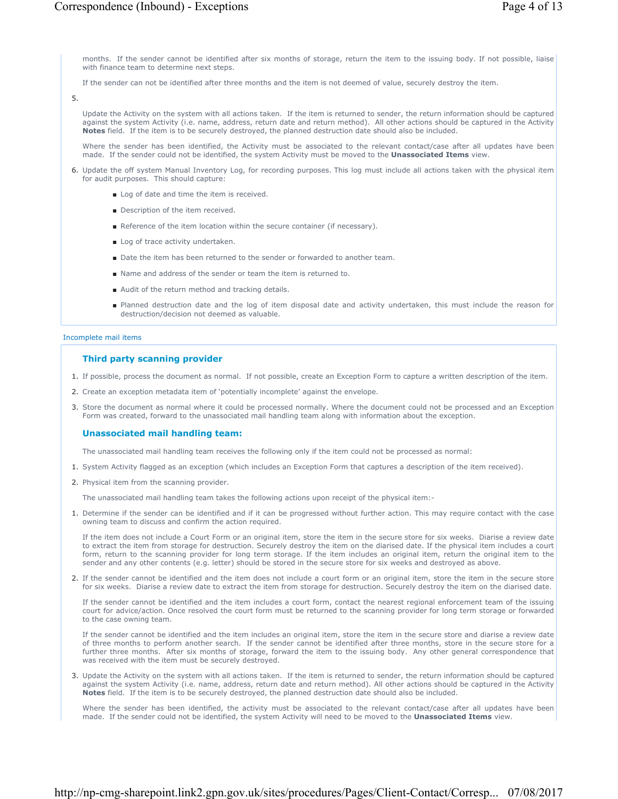months. If the sender cannot be identified after six months of storage, return the item to the issuing body. If not possible, liaise with finance team to determine next steps.

If the sender can not be identified after three months and the item is not deemed of value, securely destroy the item.

5.

Update the Activity on the system with all actions taken. If the item is returned to sender, the return information should be captured against the system Activity (i.e. name, address, return date and return method). All other actions should be captured in the Activity **Notes** field. If the item is to be securely destroyed, the planned destruction date should also be included.

Where the sender has been identified, the Activity must be associated to the relevant contact/case after all updates have been made. If the sender could not be identified, the system Activity must be moved to the **Unassociated Items** view.

- 6. Update the off system Manual Inventory Log, for recording purposes. This log must include all actions taken with the physical item for audit purposes. This should capture:
	- Log of date and time the item is received.
	- Description of the item received.
	- Reference of the item location within the secure container (if necessary).
	- Log of trace activity undertaken.
	- Date the item has been returned to the sender or forwarded to another team.
	- Name and address of the sender or team the item is returned to.
	- Audit of the return method and tracking details.
	- Planned destruction date and the log of item disposal date and activity undertaken, this must include the reason for destruction/decision not deemed as valuable.

Incomplete mail items

## **Third party scanning provider**

- 1. If possible, process the document as normal. If not possible, create an Exception Form to capture a written description of the item.
- 2. Create an exception metadata item of 'potentially incomplete' against the envelope.
- Store the document as normal where it could be processed normally. Where the document could not be processed and an Exception 3. Form was created, forward to the unassociated mail handling team along with information about the exception.

## **Unassociated mail handling team:**

The unassociated mail handling team receives the following only if the item could not be processed as normal:

- 1. System Activity flagged as an exception (which includes an Exception Form that captures a description of the item received).
- 2. Physical item from the scanning provider.

The unassociated mail handling team takes the following actions upon receipt of the physical item:-

1. Determine if the sender can be identified and if it can be progressed without further action. This may require contact with the case owning team to discuss and confirm the action required.

If the item does not include a Court Form or an original item, store the item in the secure store for six weeks. Diarise a review date to extract the item from storage for destruction. Securely destroy the item on the diarised date. If the physical item includes a court form, return to the scanning provider for long term storage. If the item includes an original item, return the original item to the sender and any other contents (e.g. letter) should be stored in the secure store for six weeks and destroyed as above.

2. If the sender cannot be identified and the item does not include a court form or an original item, store the item in the secure store for six weeks. Diarise a review date to extract the item from storage for destruction. Securely destroy the item on the diarised date.

If the sender cannot be identified and the item includes a court form, contact the nearest regional enforcement team of the issuing court for advice/action. Once resolved the court form must be returned to the scanning provider for long term storage or forwarded to the case owning team.

If the sender cannot be identified and the item includes an original item, store the item in the secure store and diarise a review date of three months to perform another search. If the sender cannot be identified after three months, store in the secure store for a further three months. After six months of storage, forward the item to the issuing body. Any other general correspondence that was received with the item must be securely destroyed.

3. Update the Activity on the system with all actions taken. If the item is returned to sender, the return information should be captured against the system Activity (i.e. name, address, return date and return method). All other actions should be captured in the Activity **Notes** field. If the item is to be securely destroyed, the planned destruction date should also be included.

Where the sender has been identified, the activity must be associated to the relevant contact/case after all updates have been made. If the sender could not be identified, the system Activity will need to be moved to the **Unassociated Items** view.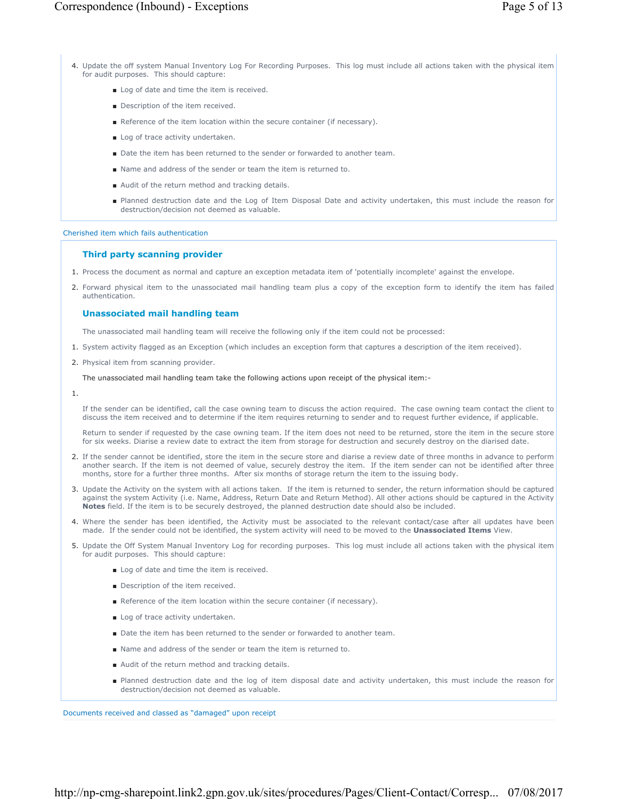- Log of date and time the item is received.
- Description of the item received.
- Reference of the item location within the secure container (if necessary).
- Log of trace activity undertaken.
- Date the item has been returned to the sender or forwarded to another team.
- Name and address of the sender or team the item is returned to.
- Audit of the return method and tracking details.
- Planned destruction date and the Log of Item Disposal Date and activity undertaken, this must include the reason for destruction/decision not deemed as valuable.

#### Cherished item which fails authentication

#### **Third party scanning provider**

- 1. Process the document as normal and capture an exception metadata item of 'potentially incomplete' against the envelope.
- 2. Forward physical item to the unassociated mail handling team plus a copy of the exception form to identify the item has failed authentication.

## **Unassociated mail handling team**

The unassociated mail handling team will receive the following only if the item could not be processed:

- 1. System activity flagged as an Exception (which includes an exception form that captures a description of the item received).
- 2. Physical item from scanning provider.

### The unassociated mail handling team take the following actions upon receipt of the physical item:-

1.

If the sender can be identified, call the case owning team to discuss the action required. The case owning team contact the client to discuss the item received and to determine if the item requires returning to sender and to request further evidence, if applicable.

Return to sender if requested by the case owning team. If the item does not need to be returned, store the item in the secure store for six weeks. Diarise a review date to extract the item from storage for destruction and securely destroy on the diarised date.

- 2. If the sender cannot be identified, store the item in the secure store and diarise a review date of three months in advance to perform another search. If the item is not deemed of value, securely destroy the item. If the item sender can not be identified after three months, store for a further three months. After six months of storage return the item to the issuing body.
- 3. Update the Activity on the system with all actions taken. If the item is returned to sender, the return information should be captured against the system Activity (i.e. Name, Address, Return Date and Return Method). All other actions should be captured in the Activity **Notes** field. If the item is to be securely destroyed, the planned destruction date should also be included.
- 4. Where the sender has been identified, the Activity must be associated to the relevant contact/case after all updates have been made. If the sender could not be identified, the system activity will need to be moved to the **Unassociated Items** View.
- 5. Update the Off System Manual Inventory Log for recording purposes. This log must include all actions taken with the physical item for audit purposes. This should capture:
	- Log of date and time the item is received.
	- Description of the item received.
	- Reference of the item location within the secure container (if necessary).
	- Log of trace activity undertaken.
	- Date the item has been returned to the sender or forwarded to another team.
	- Name and address of the sender or team the item is returned to.
	- Audit of the return method and tracking details.
	- Planned destruction date and the log of item disposal date and activity undertaken, this must include the reason for destruction/decision not deemed as valuable.

Documents received and classed as "damaged" upon receipt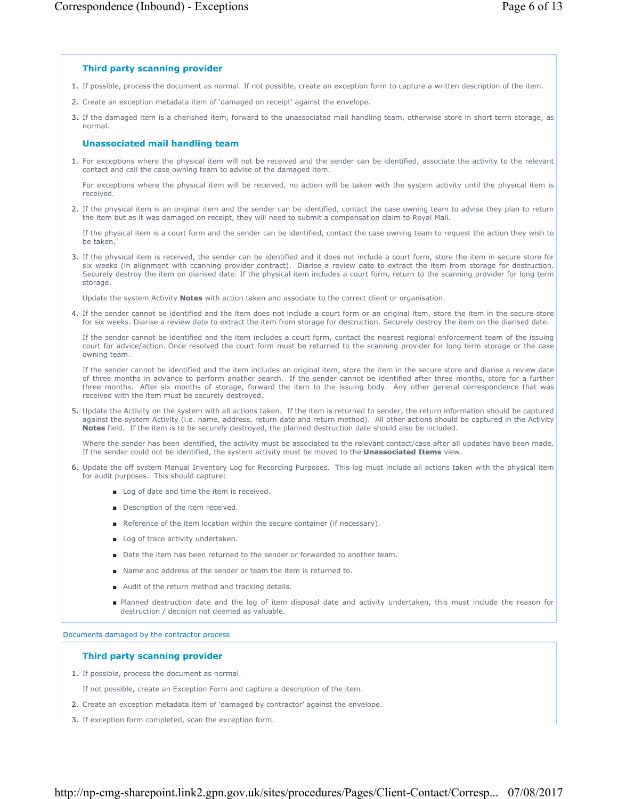# **Third party scanning provider**

- 1. If possible, process the document as normal. If not possible, create an exception form to capture a written description of the item.
- 2. Create an exception metadata item of 'damaged on receipt' against the envelope.
- If the damaged item is a cherished item, forward to the unassociated mail handling team, otherwise store in short term storage, as 3. normal.

# **Unassociated mail handling team**

1. For exceptions where the physical item will not be received and the sender can be identified, associate the activity to the relevant contact and call the case owning team to advise of the damaged item.

For exceptions where the physical item will be received, no action will be taken with the system activity until the physical item is received.

2. If the physical item is an original item and the sender can be identified, contact the case owning team to advise they plan to return the item but as it was damaged on receipt, they will need to submit a compensation claim to Royal Mail.

If the physical item is a court form and the sender can be identified, contact the case owning team to request the action they wish to be taken.

3. If the physical item is received, the sender can be identified and it does not include a court form, store the item in secure store for six weeks (in alignment with ccanning provider contract). Diarise a review date to extract the item from storage for destruction. Securely destroy the item on diarised date. If the physical item includes a court form, return to the scanning provider for long term storage.

Update the system Activity **Notes** with action taken and associate to the correct client or organisation.

4. If the sender cannot be identified and the item does not include a court form or an original item, store the item in the secure store for six weeks. Diarise a review date to extract the item from storage for destruction. Securely destroy the item on the diarised date.

If the sender cannot be identified and the item includes a court form, contact the nearest regional enforcement team of the issuing court for advice/action. Once resolved the court form must be returned to the scanning provider for long term storage or the case owning team.

If the sender cannot be identified and the item includes an original item, store the item in the secure store and diarise a review date of three months in advance to perform another search. If the sender cannot be identified after three months, store for a further three months. After six months of storage, forward the item to the issuing body. Any other general correspondence that was received with the item must be securely destroyed.

5. Update the Activity on the system with all actions taken. If the item is returned to sender, the return information should be captured against the system Activity (i.e. name, address, return date and return method). All other actions should be captured in the Activity **Notes** field. If the item is to be securely destroyed, the planned destruction date should also be included.

Where the sender has been identified, the activity must be associated to the relevant contact/case after all updates have been made. If the sender could not be identified, the system activity must be moved to the **Unassociated Items** view.

- 6. Update the off system Manual Inventory Log for Recording Purposes. This log must include all actions taken with the physical item for audit purposes. This should capture:
	- Log of date and time the item is received.
	- Description of the item received.
	- Reference of the item location within the secure container (if necessary).
	- Log of trace activity undertaken.
	- Date the item has been returned to the sender or forwarded to another team.
	- Name and address of the sender or team the item is returned to.
	- Audit of the return method and tracking details.
	- Planned destruction date and the log of item disposal date and activity undertaken, this must include the reason for destruction / decision not deemed as valuable.

Documents damaged by the contractor process

# **Third party scanning provider**

1. If possible, process the document as normal.

If not possible, create an Exception Form and capture a description of the item.

- 2. Create an exception metadata item of 'damaged by contractor' against the envelope.
- 3. If exception form completed, scan the exception form.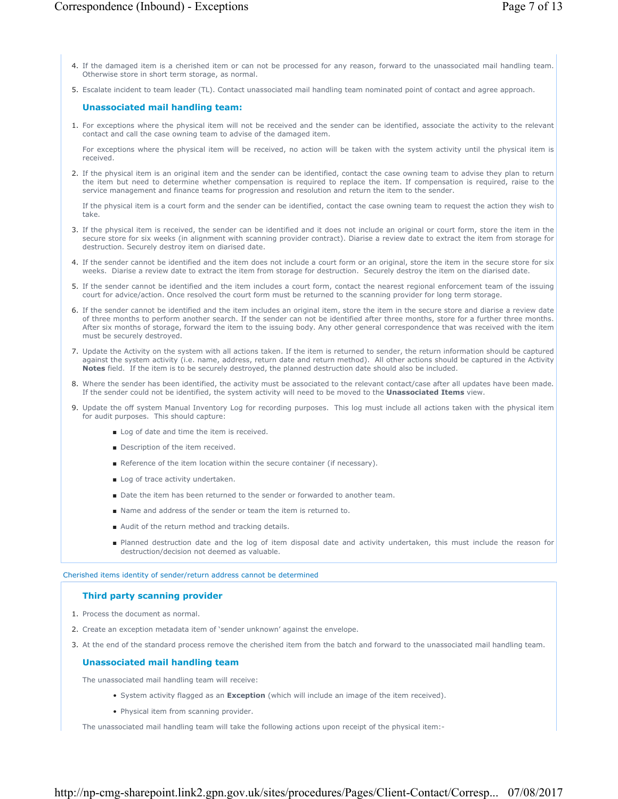- 4. If the damaged item is a cherished item or can not be processed for any reason, forward to the unassociated mail handling team. Otherwise store in short term storage, as normal.
- 5. Escalate incident to team leader (TL). Contact unassociated mail handling team nominated point of contact and agree approach.

## **Unassociated mail handling team:**

1. For exceptions where the physical item will not be received and the sender can be identified, associate the activity to the relevant contact and call the case owning team to advise of the damaged item.

For exceptions where the physical item will be received, no action will be taken with the system activity until the physical item is received.

2. If the physical item is an original item and the sender can be identified, contact the case owning team to advise they plan to return the item but need to determine whether compensation is required to replace the item. If compensation is required, raise to the service management and finance teams for progression and resolution and return the item to the sender.

If the physical item is a court form and the sender can be identified, contact the case owning team to request the action they wish to take.

- If the physical item is received, the sender can be identified and it does not include an original or court form, store the item in the 3. secure store for six weeks (in alignment with scanning provider contract). Diarise a review date to extract the item from storage for destruction. Securely destroy item on diarised date.
- 4. If the sender cannot be identified and the item does not include a court form or an original, store the item in the secure store for six weeks. Diarise a review date to extract the item from storage for destruction. Securely destroy the item on the diarised date.
- 5. If the sender cannot be identified and the item includes a court form, contact the nearest regional enforcement team of the issuing court for advice/action. Once resolved the court form must be returned to the scanning provider for long term storage.
- 6. If the sender cannot be identified and the item includes an original item, store the item in the secure store and diarise a review date of three months to perform another search. If the sender can not be identified after three months, store for a further three months. After six months of storage, forward the item to the issuing body. Any other general correspondence that was received with the item must be securely destroyed.
- 7. Update the Activity on the system with all actions taken. If the item is returned to sender, the return information should be captured against the system activity (i.e. name, address, return date and return method). All other actions should be captured in the Activity **Notes** field. If the item is to be securely destroyed, the planned destruction date should also be included.
- 8. Where the sender has been identified, the activity must be associated to the relevant contact/case after all updates have been made. If the sender could not be identified, the system activity will need to be moved to the **Unassociated Items** view.
- 9. Update the off system Manual Inventory Log for recording purposes. This log must include all actions taken with the physical item for audit purposes. This should capture:
	- Log of date and time the item is received.
	- Description of the item received.
	- Reference of the item location within the secure container (if necessary).
	- Log of trace activity undertaken.
	- Date the item has been returned to the sender or forwarded to another team.
	- Name and address of the sender or team the item is returned to.
	- Audit of the return method and tracking details.
	- Planned destruction date and the log of item disposal date and activity undertaken, this must include the reason for destruction/decision not deemed as valuable.

#### Cherished items identity of sender/return address cannot be determined

## **Third party scanning provider**

- 1. Process the document as normal.
- 2. Create an exception metadata item of 'sender unknown' against the envelope.
- 3. At the end of the standard process remove the cherished item from the batch and forward to the unassociated mail handling team.

## **Unassociated mail handling team**

The unassociated mail handling team will receive:

- System activity flagged as an **Exception** (which will include an image of the item received).
- Physical item from scanning provider.

The unassociated mail handling team will take the following actions upon receipt of the physical item:-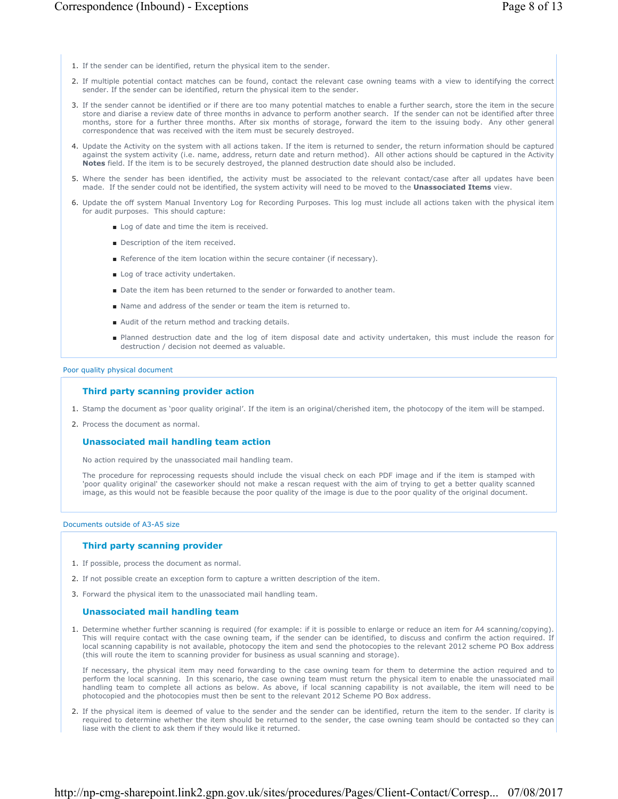- 1. If the sender can be identified, return the physical item to the sender.
- 2. If multiple potential contact matches can be found, contact the relevant case owning teams with a view to identifying the correct sender. If the sender can be identified, return the physical item to the sender.
- If the sender cannot be identified or if there are too many potential matches to enable a further search, store the item in the secure 3. store and diarise a review date of three months in advance to perform another search. If the sender can not be identified after three months, store for a further three months. After six months of storage, forward the item to the issuing body. Any other general correspondence that was received with the item must be securely destroyed.
- 4. Update the Activity on the system with all actions taken. If the item is returned to sender, the return information should be captured against the system activity (i.e. name, address, return date and return method). All other actions should be captured in the Activity **Notes** field. If the item is to be securely destroyed, the planned destruction date should also be included.
- 5. Where the sender has been identified, the activity must be associated to the relevant contact/case after all updates have been made. If the sender could not be identified, the system activity will need to be moved to the **Unassociated Items** view.
- 6. Update the off system Manual Inventory Log for Recording Purposes. This log must include all actions taken with the physical item for audit purposes. This should capture:
	- Log of date and time the item is received.
	- Description of the item received.
	- Reference of the item location within the secure container (if necessary).
	- Log of trace activity undertaken.
	- Date the item has been returned to the sender or forwarded to another team.
	- Name and address of the sender or team the item is returned to.
	- Audit of the return method and tracking details.
	- Planned destruction date and the log of item disposal date and activity undertaken, this must include the reason for destruction / decision not deemed as valuable.

# Poor quality physical document

# **Third party scanning provider action**

- 1. Stamp the document as 'poor quality original'. If the item is an original/cherished item, the photocopy of the item will be stamped.
- 2. Process the document as normal.

# **Unassociated mail handling team action**

No action required by the unassociated mail handling team.

The procedure for reprocessing requests should include the visual check on each PDF image and if the item is stamped with 'poor quality original' the caseworker should not make a rescan request with the aim of trying to get a better quality scanned image, as this would not be feasible because the poor quality of the image is due to the poor quality of the original document.

# Documents outside of A3-A5 size

# **Third party scanning provider**

- 1. If possible, process the document as normal.
- 2. If not possible create an exception form to capture a written description of the item.
- 3. Forward the physical item to the unassociated mail handling team.

# **Unassociated mail handling team**

1. Determine whether further scanning is required (for example: if it is possible to enlarge or reduce an item for A4 scanning/copying). This will require contact with the case owning team, if the sender can be identified, to discuss and confirm the action required. If local scanning capability is not available, photocopy the item and send the photocopies to the relevant 2012 scheme PO Box address (this will route the item to scanning provider for business as usual scanning and storage).

If necessary, the physical item may need forwarding to the case owning team for them to determine the action required and to perform the local scanning. In this scenario, the case owning team must return the physical item to enable the unassociated mail handling team to complete all actions as below. As above, if local scanning capability is not available, the item will need to be photocopied and the photocopies must then be sent to the relevant 2012 Scheme PO Box address.

2. If the physical item is deemed of value to the sender and the sender can be identified, return the item to the sender. If clarity is required to determine whether the item should be returned to the sender, the case owning team should be contacted so they can liase with the client to ask them if they would like it returned.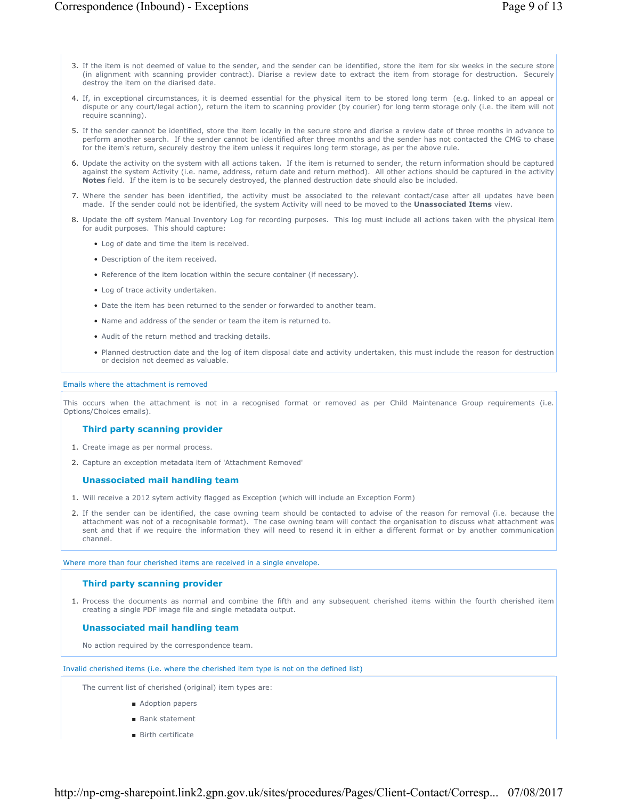- 3. If the item is not deemed of value to the sender, and the sender can be identified, store the item for six weeks in the secure store (in alignment with scanning provider contract). Diarise a review date to extract the item from storage for destruction. Securely destroy the item on the diarised date.
- 4. If, in exceptional circumstances, it is deemed essential for the physical item to be stored long term (e.g. linked to an appeal or dispute or any court/legal action), return the item to scanning provider (by courier) for long term storage only (i.e. the item will not require scanning).
- 5. If the sender cannot be identified, store the item locally in the secure store and diarise a review date of three months in advance to perform another search. If the sender cannot be identified after three months and the sender has not contacted the CMG to chase for the item's return, securely destroy the item unless it requires long term storage, as per the above rule.
- 6. Update the activity on the system with all actions taken. If the item is returned to sender, the return information should be captured against the system Activity (i.e. name, address, return date and return method). All other actions should be captured in the activity **Notes** field. If the item is to be securely destroyed, the planned destruction date should also be included.
- 7. Where the sender has been identified, the activity must be associated to the relevant contact/case after all updates have been made. If the sender could not be identified, the system Activity will need to be moved to the **Unassociated Items** view.
- 8. Update the off system Manual Inventory Log for recording purposes. This log must include all actions taken with the physical item for audit purposes. This should capture:
	- Log of date and time the item is received.
	- Description of the item received.
	- Reference of the item location within the secure container (if necessary).
	- Log of trace activity undertaken.
	- Date the item has been returned to the sender or forwarded to another team.
	- Name and address of the sender or team the item is returned to.
	- Audit of the return method and tracking details.
	- Planned destruction date and the log of item disposal date and activity undertaken, this must include the reason for destruction or decision not deemed as valuable.

#### Emails where the attachment is removed

This occurs when the attachment is not in a recognised format or removed as per Child Maintenance Group requirements (i.e. Options/Choices emails).

## **Third party scanning provider**

- 1. Create image as per normal process.
- 2. Capture an exception metadata item of 'Attachment Removed'

## **Unassociated mail handling team**

- 1. Will receive a 2012 sytem activity flagged as Exception (which will include an Exception Form)
- 2. If the sender can be identified, the case owning team should be contacted to advise of the reason for removal (i.e. because the attachment was not of a recognisable format). The case owning team will contact the organisation to discuss what attachment was sent and that if we require the information they will need to resend it in either a different format or by another communication channel.

#### Where more than four cherished items are received in a single envelope.

## **Third party scanning provider**

1. Process the documents as normal and combine the fifth and any subsequent cherished items within the fourth cherished item creating a single PDF image file and single metadata output.

# **Unassociated mail handling team**

No action required by the correspondence team.

Invalid cherished items (i.e. where the cherished item type is not on the defined list)

The current list of cherished (original) item types are:

- Adoption papers
- Bank statement
- Birth certificate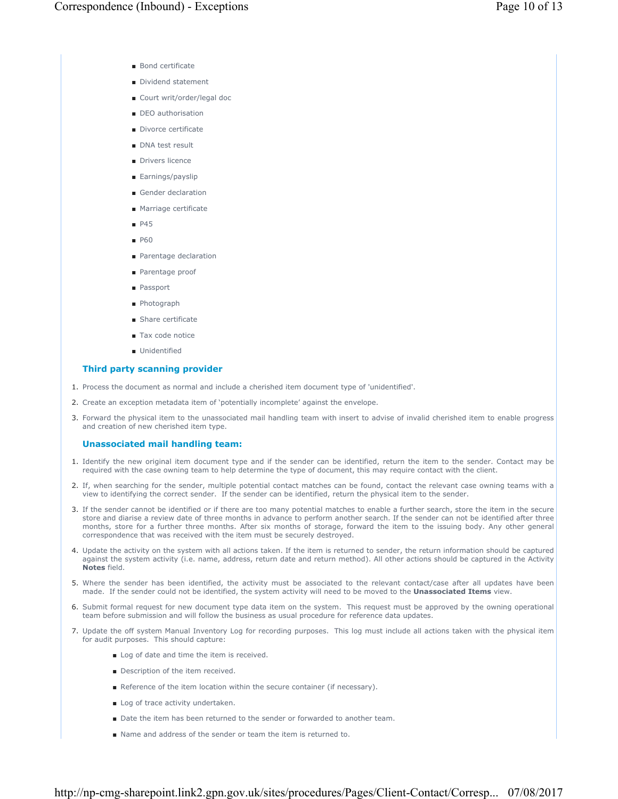- Bond certificate
- Dividend statement
- Court writ/order/legal doc
- DEO authorisation
- Divorce certificate
- DNA test result
- Drivers licence
- Earnings/payslip
- Gender declaration
- Marriage certificate
- P45
- P60
- Parentage declaration
- Parentage proof
- Passport
- Photograph
- Share certificate
- Tax code notice
- Unidentified

## **Third party scanning provider**

- 1. Process the document as normal and include a cherished item document type of 'unidentified'.
- 2. Create an exception metadata item of 'potentially incomplete' against the envelope.
- Forward the physical item to the unassociated mail handling team with insert to advise of invalid cherished item to enable progress 3. and creation of new cherished item type.

## **Unassociated mail handling team:**

- 1. Identify the new original item document type and if the sender can be identified, return the item to the sender. Contact may be required with the case owning team to help determine the type of document, this may require contact with the client.
- 2. If, when searching for the sender, multiple potential contact matches can be found, contact the relevant case owning teams with a view to identifying the correct sender. If the sender can be identified, return the physical item to the sender.
- If the sender cannot be identified or if there are too many potential matches to enable a further search, store the item in the secure 3. store and diarise a review date of three months in advance to perform another search. If the sender can not be identified after three months, store for a further three months. After six months of storage, forward the item to the issuing body. Any other general correspondence that was received with the item must be securely destroyed.
- 4. Update the activity on the system with all actions taken. If the item is returned to sender, the return information should be captured against the system activity (i.e. name, address, return date and return method). All other actions should be captured in the Activity **Notes** field.
- 5. Where the sender has been identified, the activity must be associated to the relevant contact/case after all updates have been made. If the sender could not be identified, the system activity will need to be moved to the **Unassociated Items** view.
- 6. Submit formal request for new document type data item on the system. This request must be approved by the owning operational team before submission and will follow the business as usual procedure for reference data updates.
- 7. Update the off system Manual Inventory Log for recording purposes. This log must include all actions taken with the physical item for audit purposes. This should capture:
	- Log of date and time the item is received.
	- Description of the item received.
	- Reference of the item location within the secure container (if necessary).
	- Log of trace activity undertaken.
	- Date the item has been returned to the sender or forwarded to another team.
	- Name and address of the sender or team the item is returned to.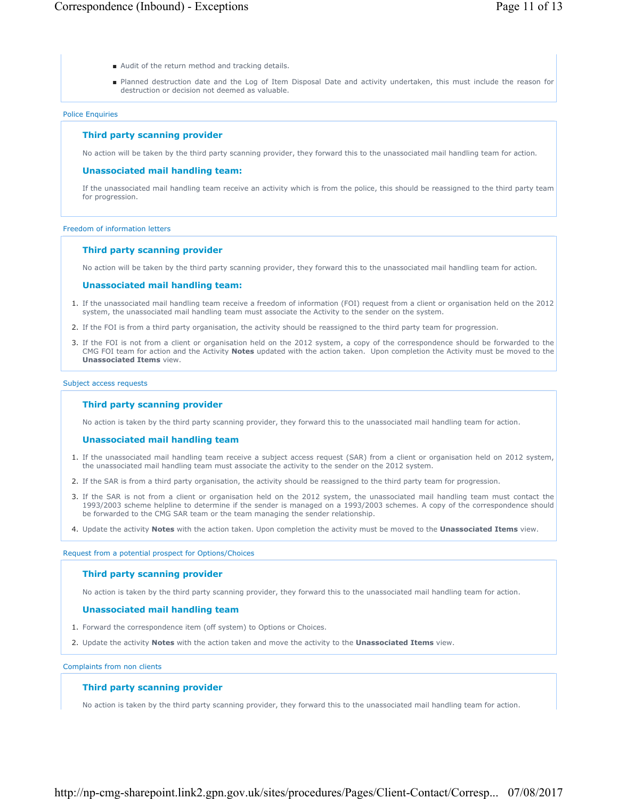- Audit of the return method and tracking details.
- Planned destruction date and the Log of Item Disposal Date and activity undertaken, this must include the reason for destruction or decision not deemed as valuable.

#### Police Enquiries

## **Third party scanning provider**

No action will be taken by the third party scanning provider, they forward this to the unassociated mail handling team for action.

## **Unassociated mail handling team:**

If the unassociated mail handling team receive an activity which is from the police, this should be reassigned to the third party team for progression.

#### Freedom of information letters

#### **Third party scanning provider**

No action will be taken by the third party scanning provider, they forward this to the unassociated mail handling team for action.

#### **Unassociated mail handling team:**

- 1. If the unassociated mail handling team receive a freedom of information (FOI) request from a client or organisation held on the 2012 system, the unassociated mail handling team must associate the Activity to the sender on the system.
- 2. If the FOI is from a third party organisation, the activity should be reassigned to the third party team for progression.
- 3. If the FOI is not from a client or organisation held on the 2012 system, a copy of the correspondence should be forwarded to the CMG FOI team for action and the Activity **Notes** updated with the action taken. Upon completion the Activity must be moved to the **Unassociated Items** view.

#### Subject access requests

## **Third party scanning provider**

No action is taken by the third party scanning provider, they forward this to the unassociated mail handling team for action.

#### **Unassociated mail handling team**

- 1. If the unassociated mail handling team receive a subject access request (SAR) from a client or organisation held on 2012 system, the unassociated mail handling team must associate the activity to the sender on the 2012 system.
- 2. If the SAR is from a third party organisation, the activity should be reassigned to the third party team for progression.
- 3. If the SAR is not from a client or organisation held on the 2012 system, the unassociated mail handling team must contact the 1993/2003 scheme helpline to determine if the sender is managed on a 1993/2003 schemes. A copy of the correspondence should be forwarded to the CMG SAR team or the team managing the sender relationship.
- 4. Update the activity **Notes** with the action taken. Upon completion the activity must be moved to the **Unassociated Items** view.

Request from a potential prospect for Options/Choices

#### **Third party scanning provider**

No action is taken by the third party scanning provider, they forward this to the unassociated mail handling team for action.

#### **Unassociated mail handling team**

- 1. Forward the correspondence item (off system) to Options or Choices.
- 2. Update the activity **Notes** with the action taken and move the activity to the **Unassociated Items** view.

Complaints from non clients

## **Third party scanning provider**

No action is taken by the third party scanning provider, they forward this to the unassociated mail handling team for action.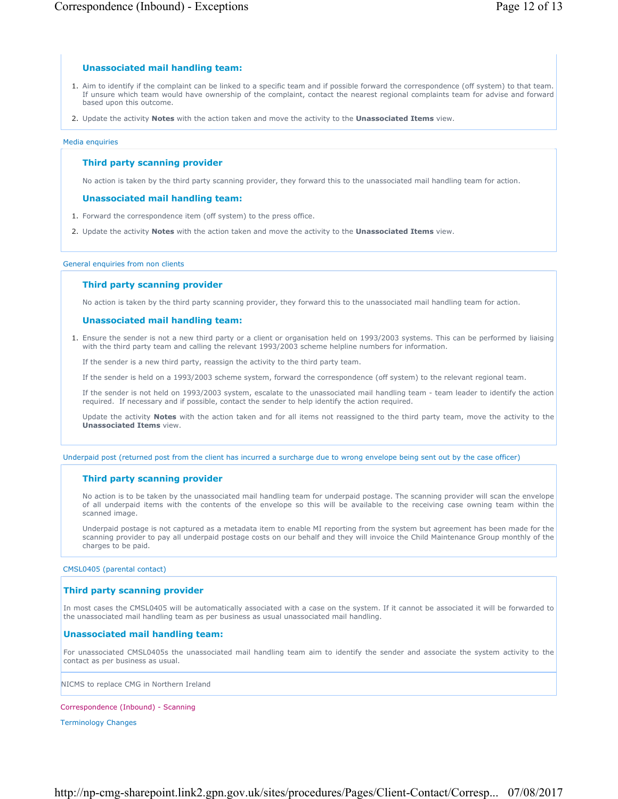# **Unassociated mail handling team:**

- 1. Aim to identify if the complaint can be linked to a specific team and if possible forward the correspondence (off system) to that team. If unsure which team would have ownership of the complaint, contact the nearest regional complaints team for advise and forward based upon this outcome.
- 2. Update the activity **Notes** with the action taken and move the activity to the **Unassociated Items** view.

## Media enquiries

# **Third party scanning provider**

No action is taken by the third party scanning provider, they forward this to the unassociated mail handling team for action.

# **Unassociated mail handling team:**

- 1. Forward the correspondence item (off system) to the press office.
- 2. Update the activity **Notes** with the action taken and move the activity to the **Unassociated Items** view.

## General enquiries from non clients

# **Third party scanning provider**

No action is taken by the third party scanning provider, they forward this to the unassociated mail handling team for action.

# **Unassociated mail handling team:**

Ensure the sender is not a new third party or a client or organisation held on 1993/2003 systems. This can be performed by liaising 1. with the third party team and calling the relevant 1993/2003 scheme helpline numbers for information.

If the sender is a new third party, reassign the activity to the third party team.

If the sender is held on a 1993/2003 scheme system, forward the correspondence (off system) to the relevant regional team.

If the sender is not held on 1993/2003 system, escalate to the unassociated mail handling team - team leader to identify the action required. If necessary and if possible, contact the sender to help identify the action required.

Update the activity **Notes** with the action taken and for all items not reassigned to the third party team, move the activity to the **Unassociated Items** view.

Underpaid post (returned post from the client has incurred a surcharge due to wrong envelope being sent out by the case officer)

# **Third party scanning provider**

No action is to be taken by the unassociated mail handling team for underpaid postage. The scanning provider will scan the envelope of all underpaid items with the contents of the envelope so this will be available to the receiving case owning team within the scanned image.

Underpaid postage is not captured as a metadata item to enable MI reporting from the system but agreement has been made for the scanning provider to pay all underpaid postage costs on our behalf and they will invoice the Child Maintenance Group monthly of the charges to be paid.

CMSL0405 (parental contact)

# **Third party scanning provider**

In most cases the CMSL0405 will be automatically associated with a case on the system. If it cannot be associated it will be forwarded to the unassociated mail handling team as per business as usual unassociated mail handling.

# **Unassociated mail handling team:**

For unassociated CMSL0405s the unassociated mail handling team aim to identify the sender and associate the system activity to the contact as per business as usual.

NICMS to replace CMG in Northern Ireland

Correspondence (Inbound) - Scanning

Terminology Changes